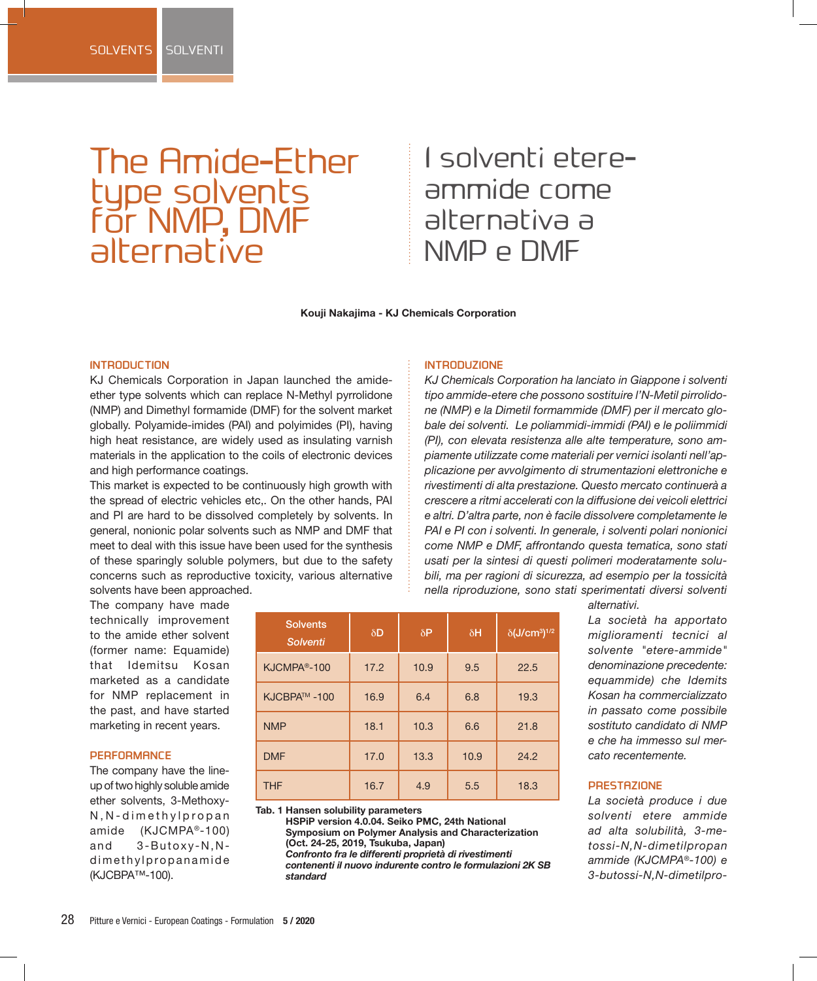# The Amide-Ether type solvents for NMP, DMF alternative

## I solventi etereammide come alternativa a NMP e DMF

**Kouji Nakajima - KJ Chemicals Corporation**

## **INTRODUCTION**

KJ Chemicals Corporation in Japan launched the amideether type solvents which can replace N-Methyl pyrrolidone (NMP) and Dimethyl formamide (DMF) for the solvent market globally. Polyamide-imides (PAI) and polyimides (PI), having high heat resistance, are widely used as insulating varnish materials in the application to the coils of electronic devices and high performance coatings.

This market is expected to be continuously high growth with the spread of electric vehicles etc,. On the other hands, PAI and PI are hard to be dissolved completely by solvents. In general, nonionic polar solvents such as NMP and DMF that meet to deal with this issue have been used for the synthesis of these sparingly soluble polymers, but due to the safety concerns such as reproductive toxicity, various alternative solvents have been approached.

#### **INTRODUZIONE**

*KJ Chemicals Corporation ha lanciato in Giappone i solventi tipo ammide-etere che possono sostituire l'N-Metil pirrolidone (NMP) e la Dimetil formammide (DMF) per il mercato globale dei solventi. Le poliammidi-immidi (PAI) e le poliimmidi (PI), con elevata resistenza alle alte temperature, sono ampiamente utilizzate come materiali per vernici isolanti nell'applicazione per avvolgimento di strumentazioni elettroniche e rivestimenti di alta prestazione. Questo mercato continuerà a crescere a ritmi accelerati con la diffusione dei veicoli elettrici e altri. D'altra parte, non è facile dissolvere completamente le PAI e PI con i solventi. In generale, i solventi polari nonionici come NMP e DMF, affrontando questa tematica, sono stati usati per la sintesi di questi polimeri moderatamente solubili, ma per ragioni di sicurezza, ad esempio per la tossicità nella riproduzione, sono stati sperimentati diversi solventi* 

The company have made technically improvement to the amide ether solvent (former name: Equamide) that Idemitsu Kosan marketed as a candidate for NMP replacement in the past, and have started marketing in recent years.

#### **PERFORMANCE**

The company have the lineup of two highly soluble amide ether solvents, 3-Methoxy-N, N-dimethylpropan amide (KJCMPA®-100) and 3-Butoxy-N,Ndimethylpropanamide (KJCBPA™-100).

| <b>Solvents</b><br><b>Solventi</b> | $\delta$ D | $\delta P$ | $\delta H$ | $\delta$ (J/cm <sup>3</sup> ) <sup>1/2</sup> |
|------------------------------------|------------|------------|------------|----------------------------------------------|
| KJCMPA <sup>®</sup> -100           | 17.2       | 10.9       | 9.5        | 22.5                                         |
| KJCBPA™-100                        | 16.9       | 6.4        | 6.8        | 19.3                                         |
| <b>NMP</b>                         | 18.1       | 10.3       | 6.6        | 21.8                                         |
| <b>DMF</b>                         | 17.0       | 13.3       | 10.9       | 24.2                                         |
| <b>THF</b>                         | 16.7       | 4.9        | 5.5        | 18.3                                         |

**Tab. 1 Hansen solubility parameters** 

**HSPiP version 4.0.04. Seiko PMC, 24th National Symposium on Polymer Analysis and Characterization (Oct. 24-25, 2019, Tsukuba, Japan)**  *Confronto fra le differenti proprietà di rivestimenti* 

*contenenti il nuovo indurente contro le formulazioni 2K SB standard*

*alternativi.*

*La società ha apportato miglioramenti tecnici al solvente "etere-ammide" denominazione precedente: equammide) che Idemits Kosan ha commercializzato in passato come possibile sostituto candidato di NMP e che ha immesso sul mercato recentemente.* 

#### **PRESTAZIONE**

*La società produce i due solventi etere ammide ad alta solubilità, 3-metossi-N,N-dimetilpropan ammide (KJCMPA®-100) e 3-butossi-N,N-dimetilpro-*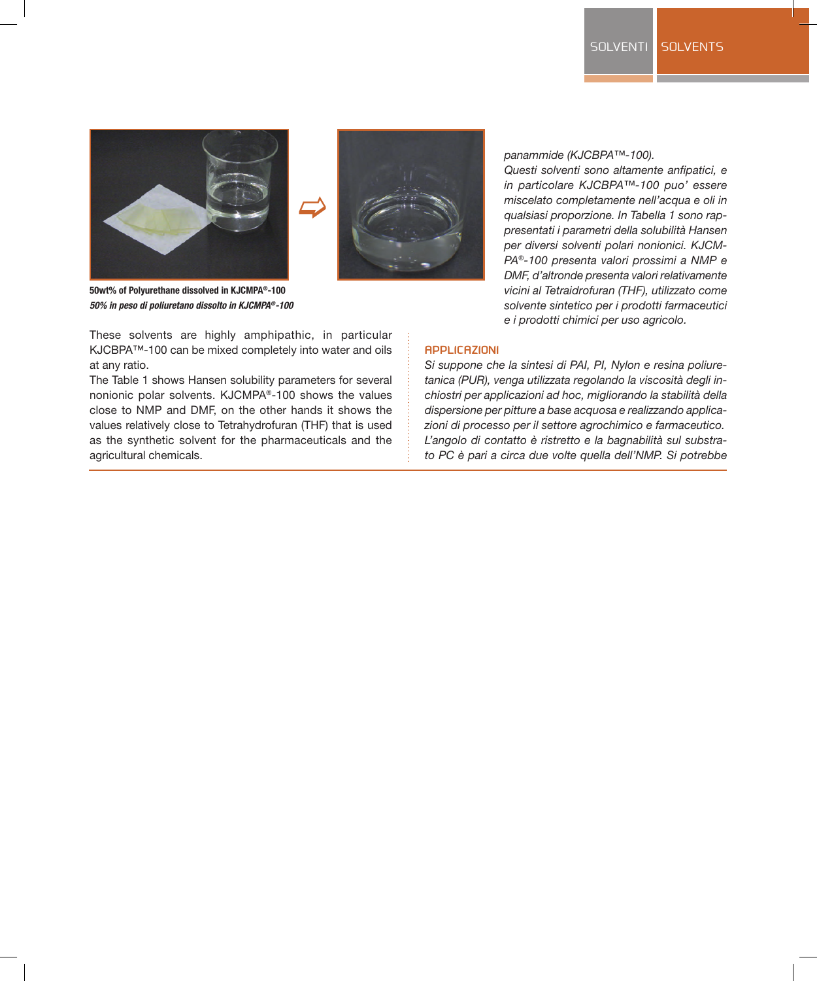



**50wt% of Polyurethane dissolved in KJCMPA®-100**  *50% in peso di poliuretano dissolto in KJCMPA®-100*

These solvents are highly amphipathic, in particular KJCBPA™-100 can be mixed completely into water and oils at any ratio.

The Table 1 shows Hansen solubility parameters for several nonionic polar solvents. KJCMPA®-100 shows the values close to NMP and DMF, on the other hands it shows the values relatively close to Tetrahydrofuran (THF) that is used as the synthetic solvent for the pharmaceuticals and the agricultural chemicals.

## *panammide (KJCBPA™-100).*

*Questi solventi sono altamente anfipatici, e in particolare KJCBPA™-100 puo' essere miscelato completamente nell'acqua e oli in qualsiasi proporzione. In Tabella 1 sono rappresentati i parametri della solubilità Hansen per diversi solventi polari nonionici. KJCM-PA®-100 presenta valori prossimi a NMP e DMF, d'altronde presenta valori relativamente vicini al Tetraidrofuran (THF), utilizzato come solvente sintetico per i prodotti farmaceutici e i prodotti chimici per uso agricolo.*

### **APPLICAZIONI**

*Si suppone che la sintesi di PAI, PI, Nylon e resina poliuretanica (PUR), venga utilizzata regolando la viscosità degli inchiostri per applicazioni ad hoc, migliorando la stabilità della dispersione per pitture a base acquosa e realizzando applicazioni di processo per il settore agrochimico e farmaceutico. L'angolo di contatto è ristretto e la bagnabilità sul substrato PC è pari a circa due volte quella dell'NMP. Si potrebbe*